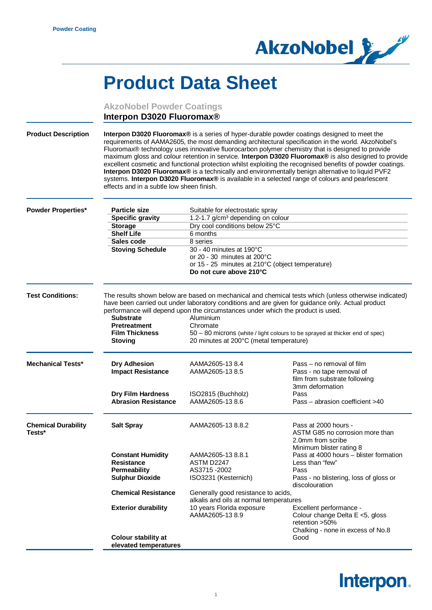

## **Product Data Sheet**

|                                      | <b>AkzoNobel Powder Coatings</b><br>Interpon D3020 Fluoromax <sup>®</sup>                                                                                                                                                                                                                                                                                                                                                                                                                                                                                                                                                                                                                                                                                                      |                                                                                                                                                                                                                                                                                       |                                                                                                                                                                                                                                           |
|--------------------------------------|--------------------------------------------------------------------------------------------------------------------------------------------------------------------------------------------------------------------------------------------------------------------------------------------------------------------------------------------------------------------------------------------------------------------------------------------------------------------------------------------------------------------------------------------------------------------------------------------------------------------------------------------------------------------------------------------------------------------------------------------------------------------------------|---------------------------------------------------------------------------------------------------------------------------------------------------------------------------------------------------------------------------------------------------------------------------------------|-------------------------------------------------------------------------------------------------------------------------------------------------------------------------------------------------------------------------------------------|
| <b>Product Description</b>           | Interpon D3020 Fluoromax® is a series of hyper-durable powder coatings designed to meet the<br>requirements of AAMA2605, the most demanding architectural specification in the world. AkzoNobel's<br>Fluoromax® technology uses innovative fluorocarbon polymer chemistry that is designed to provide<br>maximum gloss and colour retention in service. Interpon D3020 Fluoromax® is also designed to provide<br>excellent cosmetic and functional protection whilst exploiting the recognised benefits of powder coatings.<br>Interpon D3020 Fluoromax® is a technically and environmentally benign alternative to liquid PVF2<br>systems. Interpon D3020 Fluoromax® is available in a selected range of colours and pearlescent<br>effects and in a subtle low sheen finish. |                                                                                                                                                                                                                                                                                       |                                                                                                                                                                                                                                           |
| <b>Powder Properties*</b>            | <b>Particle size</b><br><b>Specific gravity</b><br><b>Storage</b><br><b>Shelf Life</b><br>Sales code<br><b>Stoving Schedule</b>                                                                                                                                                                                                                                                                                                                                                                                                                                                                                                                                                                                                                                                | Suitable for electrostatic spray<br>1.2-1.7 g/cm <sup>3</sup> depending on colour<br>Dry cool conditions below 25°C<br>6 months<br>8 series<br>30 - 40 minutes at 190°C<br>or 20 - 30 minutes at 200°C<br>or 15 - 25 minutes at 210°C (object temperature)<br>Do not cure above 210°C |                                                                                                                                                                                                                                           |
| <b>Test Conditions:</b>              | The results shown below are based on mechanical and chemical tests which (unless otherwise indicated)<br>have been carried out under laboratory conditions and are given for guidance only. Actual product<br>performance will depend upon the circumstances under which the product is used.<br><b>Substrate</b><br>Aluminium<br><b>Pretreatment</b><br>Chromate<br><b>Film Thickness</b><br>50 – 80 microns (white / light colours to be sprayed at thicker end of spec)<br>20 minutes at 200°C (metal temperature)<br><b>Stoving</b>                                                                                                                                                                                                                                        |                                                                                                                                                                                                                                                                                       |                                                                                                                                                                                                                                           |
| <b>Mechanical Tests*</b>             | <b>Dry Adhesion</b><br><b>Impact Resistance</b><br><b>Dry Film Hardness</b><br><b>Abrasion Resistance</b>                                                                                                                                                                                                                                                                                                                                                                                                                                                                                                                                                                                                                                                                      | AAMA2605-13 8.4<br>AAMA2605-13 8.5<br>ISO2815 (Buchholz)<br>AAMA2605-13 8.6                                                                                                                                                                                                           | Pass – no removal of film<br>Pass - no tape removal of<br>film from substrate following<br>3mm deformation<br>Pass<br>Pass - abrasion coefficient >40                                                                                     |
| <b>Chemical Durability</b><br>Tests* | <b>Salt Spray</b><br><b>Constant Humidity</b><br><b>Resistance</b><br>Permeability<br><b>Sulphur Dioxide</b>                                                                                                                                                                                                                                                                                                                                                                                                                                                                                                                                                                                                                                                                   | AAMA2605-13 8.8.2<br>AAMA2605-13 8.8.1<br>ASTM D2247<br>AS3715-2002<br>ISO3231 (Kesternich)                                                                                                                                                                                           | Pass at 2000 hours -<br>ASTM G85 no corrosion more than<br>2.0mm from scribe<br>Minimum blister rating 8<br>Pass at 4000 hours - blister formation<br>Less than "few"<br>Pass<br>Pass - no blistering, loss of gloss or<br>discolouration |
|                                      | <b>Chemical Resistance</b><br><b>Exterior durability</b><br><b>Colour stability at</b><br>elevated temperatures                                                                                                                                                                                                                                                                                                                                                                                                                                                                                                                                                                                                                                                                | Generally good resistance to acids,<br>alkalis and oils at normal temperatures<br>10 years Florida exposure<br>AAMA2605-13 8.9                                                                                                                                                        | Excellent performance -<br>Colour change Delta E <5, gloss<br>retention $>50\%$<br>Chalking - none in excess of No.8<br>Good                                                                                                              |

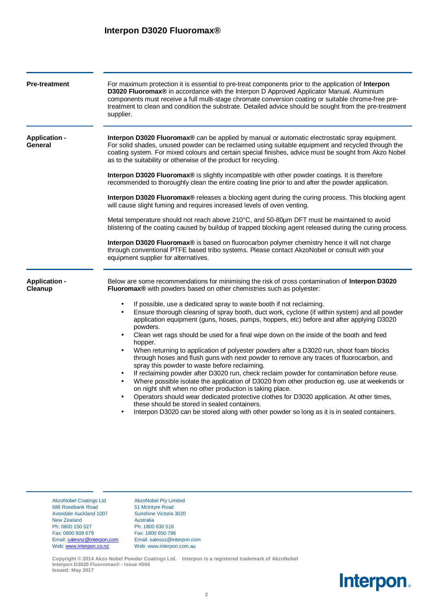## **Interpon D3020 Fluoromax®**

| <b>Pre-treatment</b>                                                                                                                                                                                                                                                                                                                                                                                                                                                                                                                                                                                                                                                                                                                                                                                                                                                                                                                                                                                                                                                                                                             | For maximum protection it is essential to pre-treat components prior to the application of <b>Interpon</b><br>D3020 Fluoromax® in accordance with the Interpon D Approved Applicator Manual. Aluminium<br>components must receive a full multi-stage chromate conversion coating or suitable chrome-free pre-<br>treatment to clean and condition the substrate. Detailed advice should be sought from the pre-treatment<br>supplier. |                                                                                                                                                                          |  |  |
|----------------------------------------------------------------------------------------------------------------------------------------------------------------------------------------------------------------------------------------------------------------------------------------------------------------------------------------------------------------------------------------------------------------------------------------------------------------------------------------------------------------------------------------------------------------------------------------------------------------------------------------------------------------------------------------------------------------------------------------------------------------------------------------------------------------------------------------------------------------------------------------------------------------------------------------------------------------------------------------------------------------------------------------------------------------------------------------------------------------------------------|---------------------------------------------------------------------------------------------------------------------------------------------------------------------------------------------------------------------------------------------------------------------------------------------------------------------------------------------------------------------------------------------------------------------------------------|--------------------------------------------------------------------------------------------------------------------------------------------------------------------------|--|--|
| <b>Application -</b><br>General                                                                                                                                                                                                                                                                                                                                                                                                                                                                                                                                                                                                                                                                                                                                                                                                                                                                                                                                                                                                                                                                                                  | <b>Interpon D3020 Fluoromax</b> ® can be applied by manual or automatic electrostatic spray equipment.<br>For solid shades, unused powder can be reclaimed using suitable equipment and recycled through the<br>coating system. For mixed colours and certain special finishes, advice must be sought from Akzo Nobel<br>as to the suitability or otherwise of the product for recycling.                                             |                                                                                                                                                                          |  |  |
|                                                                                                                                                                                                                                                                                                                                                                                                                                                                                                                                                                                                                                                                                                                                                                                                                                                                                                                                                                                                                                                                                                                                  | Interpon D3020 Fluoromax® is slightly incompatible with other powder coatings. It is therefore<br>recommended to thoroughly clean the entire coating line prior to and after the powder application.<br>Interpon D3020 Fluoromax® releases a blocking agent during the curing process. This blocking agent<br>will cause slight fuming and requires increased levels of oven venting.                                                 |                                                                                                                                                                          |  |  |
|                                                                                                                                                                                                                                                                                                                                                                                                                                                                                                                                                                                                                                                                                                                                                                                                                                                                                                                                                                                                                                                                                                                                  |                                                                                                                                                                                                                                                                                                                                                                                                                                       |                                                                                                                                                                          |  |  |
|                                                                                                                                                                                                                                                                                                                                                                                                                                                                                                                                                                                                                                                                                                                                                                                                                                                                                                                                                                                                                                                                                                                                  | Interpon D3020 Fluoromax® is based on fluorocarbon polymer chemistry hence it will not charge<br>through conventional PTFE based tribo systems. Please contact AkzoNobel or consult with your<br>equipment supplier for alternatives.                                                                                                                                                                                                 |                                                                                                                                                                          |  |  |
|                                                                                                                                                                                                                                                                                                                                                                                                                                                                                                                                                                                                                                                                                                                                                                                                                                                                                                                                                                                                                                                                                                                                  | <b>Application -</b><br>Cleanup                                                                                                                                                                                                                                                                                                                                                                                                       | Below are some recommendations for minimising the risk of cross contamination of Interpon D3020<br>Fluoromax® with powders based on other chemistries such as polyester: |  |  |
| If possible, use a dedicated spray to waste booth if not reclaiming.<br>Ensure thorough cleaning of spray booth, duct work, cyclone (if within system) and all powder<br>application equipment (guns, hoses, pumps, hoppers, etc) before and after applying D3020<br>powders.<br>Clean wet rags should be used for a final wipe down on the inside of the booth and feed<br>hopper.<br>When returning to application of polyester powders after a D3020 run, shoot foam blocks<br>through hoses and flush guns with next powder to remove any traces of fluorocarbon, and<br>spray this powder to waste before reclaiming.<br>If reclaiming powder after D3020 run, check reclaim powder for contamination before reuse.<br>Where possible isolate the application of D3020 from other production eg. use at weekends or<br>on night shift when no other production is taking place.<br>Operators should wear dedicated protective clothes for D3020 application. At other times,<br>these should be stored in sealed containers.<br>Interpon D3020 can be stored along with other powder so long as it is in sealed containers. |                                                                                                                                                                                                                                                                                                                                                                                                                                       |                                                                                                                                                                          |  |  |
|                                                                                                                                                                                                                                                                                                                                                                                                                                                                                                                                                                                                                                                                                                                                                                                                                                                                                                                                                                                                                                                                                                                                  |                                                                                                                                                                                                                                                                                                                                                                                                                                       |                                                                                                                                                                          |  |  |

686 Rosebank Road 51 McIntyre Road Avondale Auckland 1007 Sunshine Victoria 3020 New Zealand Australia<br>
Ph: 0800 150 527 Ph: 1800 Ph: 0800 150 527 Ph: 1800 630 516<br>Fax: 0800 809 679 Fax: 1800 650 786 Email: [salesnz@interpon.com](mailto:salesnz@interpon.com) Email: salesoz@interpon.com Web: [www.interpon.co.nz](http://www.interpon.co.nz/) Web: www.interpon.com.au

AkzoNobel Coatings Ltd AkzoNobel Pty Limited Fax: 1800 650 786

**Copyright © 2014 Akzo Nobel Powder Coatings Ltd. Interpon is a registered trademark of AkzoNobel Interpon D3020 Fluoromax® - Issue #004 Issued: May 2017**